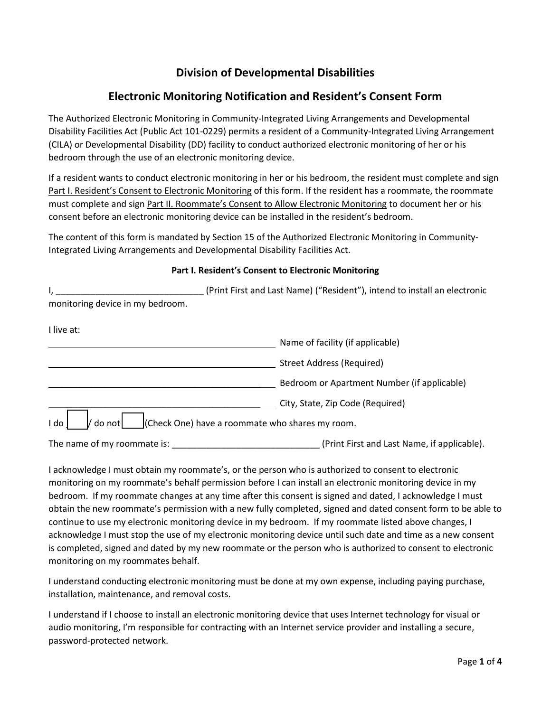## **Division of Developmental Disabilities**

## **Electronic Monitoring Notification and Resident's Consent Form**

The Authorized Electronic Monitoring in Community-Integrated Living Arrangements and Developmental Disability Facilities Act (Public Act 101-0229) permits a resident of a Community-Integrated Living Arrangement (CILA) or Developmental Disability (DD) facility to conduct authorized electronic monitoring of her or his bedroom through the use of an electronic monitoring device.

If a resident wants to conduct electronic monitoring in her or his bedroom, the resident must complete and sign Part I. Resident's Consent to Electronic Monitoring of this form. If the resident has a roommate, the roommate must complete and sign Part II. Roommate's Consent to Allow Electronic Monitoring to document her or his consent before an electronic monitoring device can be installed in the resident's bedroom.

The content of this form is mandated by Section 15 of the Authorized Electronic Monitoring in Community-Integrated Living Arrangements and Developmental Disability Facilities Act.

## **Part I. Resident's Consent to Electronic Monitoring**

|                                  | (Print First and Last Name) ("Resident"), intend to install an electronic |  |  |
|----------------------------------|---------------------------------------------------------------------------|--|--|
| monitoring device in my bedroom. |                                                                           |  |  |
| I live at:                       |                                                                           |  |  |
|                                  | Name of facility (if applicable)                                          |  |  |
|                                  | <b>Street Address (Required)</b>                                          |  |  |
|                                  | Bedroom or Apartment Number (if applicable)                               |  |  |
|                                  | City, State, Zip Code (Required)                                          |  |  |
| I do<br>do not                   | (Check One) have a roommate who shares my room.                           |  |  |
| The name of my roommate is:      | (Print First and Last Name, if applicable).                               |  |  |

I acknowledge I must obtain my roommate's, or the person who is authorized to consent to electronic monitoring on my roommate's behalf permission before I can install an electronic monitoring device in my bedroom. If my roommate changes at any time after this consent is signed and dated, I acknowledge I must obtain the new roommate's permission with a new fully completed, signed and dated consent form to be able to continue to use my electronic monitoring device in my bedroom. If my roommate listed above changes, I acknowledge I must stop the use of my electronic monitoring device until such date and time as a new consent is completed, signed and dated by my new roommate or the person who is authorized to consent to electronic monitoring on my roommates behalf.

I understand conducting electronic monitoring must be done at my own expense, including paying purchase, installation, maintenance, and removal costs.

I understand if I choose to install an electronic monitoring device that uses Internet technology for visual or audio monitoring, I'm responsible for contracting with an Internet service provider and installing a secure, password-protected network.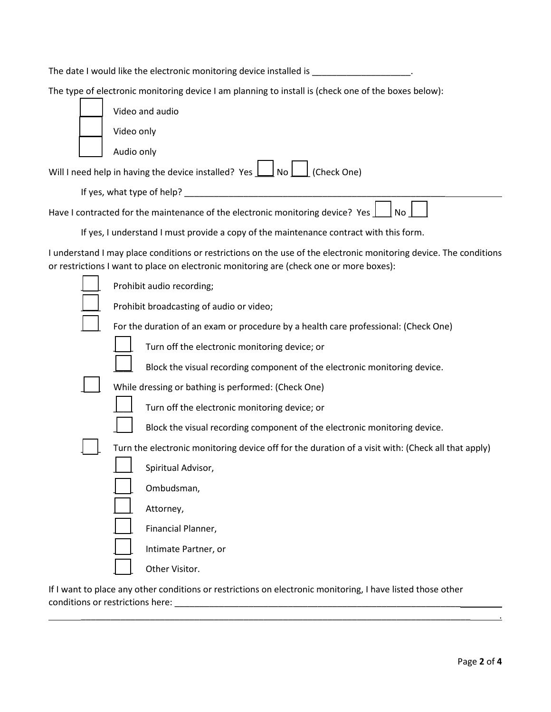|                                                                                        |                                                     | The date I would like the electronic monitoring device installed is electronic contact the control of                                                                                                         |  |
|----------------------------------------------------------------------------------------|-----------------------------------------------------|---------------------------------------------------------------------------------------------------------------------------------------------------------------------------------------------------------------|--|
|                                                                                        |                                                     | The type of electronic monitoring device I am planning to install is (check one of the boxes below):                                                                                                          |  |
|                                                                                        | Video and audio                                     |                                                                                                                                                                                                               |  |
|                                                                                        | Video only                                          |                                                                                                                                                                                                               |  |
|                                                                                        | Audio only                                          |                                                                                                                                                                                                               |  |
|                                                                                        |                                                     | Will I need help in having the device installed? Yes $\boxed{\phantom{a}}$ No $\boxed{\phantom{a}}$ (Check One)                                                                                               |  |
|                                                                                        |                                                     |                                                                                                                                                                                                               |  |
|                                                                                        |                                                     | Have I contracted for the maintenance of the electronic monitoring device? Yes<br>No                                                                                                                          |  |
| If yes, I understand I must provide a copy of the maintenance contract with this form. |                                                     |                                                                                                                                                                                                               |  |
|                                                                                        |                                                     | I understand I may place conditions or restrictions on the use of the electronic monitoring device. The conditions<br>or restrictions I want to place on electronic monitoring are (check one or more boxes): |  |
|                                                                                        |                                                     | Prohibit audio recording;                                                                                                                                                                                     |  |
| Prohibit broadcasting of audio or video;                                               |                                                     |                                                                                                                                                                                                               |  |
| For the duration of an exam or procedure by a health care professional: (Check One)    |                                                     |                                                                                                                                                                                                               |  |
|                                                                                        |                                                     | Turn off the electronic monitoring device; or                                                                                                                                                                 |  |
|                                                                                        |                                                     | Block the visual recording component of the electronic monitoring device.                                                                                                                                     |  |
|                                                                                        | While dressing or bathing is performed: (Check One) |                                                                                                                                                                                                               |  |
|                                                                                        |                                                     | Turn off the electronic monitoring device; or                                                                                                                                                                 |  |
|                                                                                        |                                                     | Block the visual recording component of the electronic monitoring device.                                                                                                                                     |  |
|                                                                                        |                                                     | Turn the electronic monitoring device off for the duration of a visit with: (Check all that apply)                                                                                                            |  |
|                                                                                        |                                                     | Spiritual Advisor,                                                                                                                                                                                            |  |
|                                                                                        |                                                     | Ombudsman,                                                                                                                                                                                                    |  |
|                                                                                        |                                                     | Attorney,                                                                                                                                                                                                     |  |
|                                                                                        |                                                     | Financial Planner,                                                                                                                                                                                            |  |
|                                                                                        |                                                     | Intimate Partner, or                                                                                                                                                                                          |  |
|                                                                                        |                                                     | Other Visitor.                                                                                                                                                                                                |  |
|                                                                                        |                                                     |                                                                                                                                                                                                               |  |

If I want to place any other conditions or restrictions on electronic monitoring, I have listed those other conditions or restrictions here: \_\_\_\_\_\_\_\_\_\_\_\_\_\_\_\_\_\_\_\_\_\_\_\_\_\_\_\_\_\_\_\_\_\_\_\_\_\_\_\_\_\_\_\_\_\_\_\_\_\_\_\_\_\_\_\_\_\_

\_\_\_\_\_\_\_\_\_\_\_\_\_\_\_\_\_\_\_\_\_\_\_\_\_\_\_\_\_\_\_\_\_\_\_\_\_\_\_\_\_\_\_\_\_\_\_\_\_\_\_\_\_\_\_\_\_\_\_\_\_\_\_\_\_\_\_\_\_\_\_\_\_\_\_\_\_\_\_ .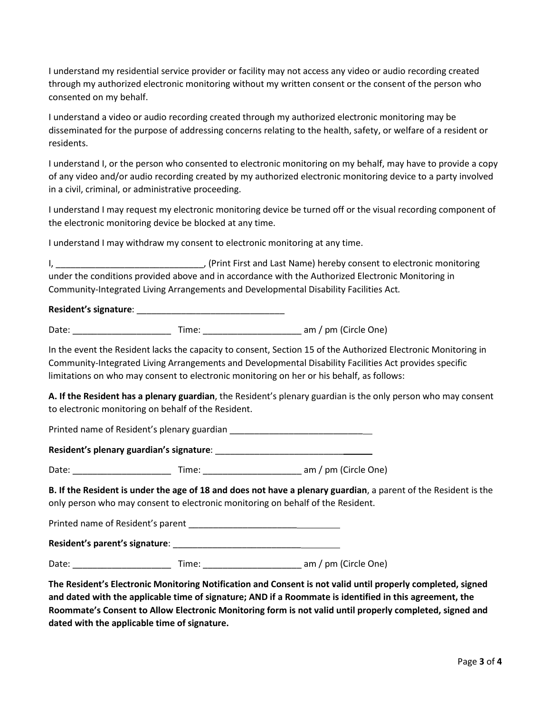I understand my residential service provider or facility may not access any video or audio recording created through my authorized electronic monitoring without my written consent or the consent of the person who consented on my behalf.

I understand a video or audio recording created through my authorized electronic monitoring may be disseminated for the purpose of addressing concerns relating to the health, safety, or welfare of a resident or residents.

I understand I, or the person who consented to electronic monitoring on my behalf, may have to provide a copy of any video and/or audio recording created by my authorized electronic monitoring device to a party involved in a civil, criminal, or administrative proceeding.

I understand I may request my electronic monitoring device be turned off or the visual recording component of the electronic monitoring device be blocked at any time.

I understand I may withdraw my consent to electronic monitoring at any time.

I, The same of the U.S. (Print First and Last Name) hereby consent to electronic monitoring under the conditions provided above and in accordance with the Authorized Electronic Monitoring in Community-Integrated Living Arrangements and Developmental Disability Facilities Act*.* 

## **Resident's signature**: \_\_\_\_\_\_\_\_\_\_\_\_\_\_\_\_\_\_\_\_\_\_\_\_\_\_\_\_\_\_

Date: \_\_\_\_\_\_\_\_\_\_\_\_\_\_\_\_\_\_\_\_ Time: \_\_\_\_\_\_\_\_\_\_\_\_\_\_\_\_\_\_\_\_ am / pm (Circle One)

In the event the Resident lacks the capacity to consent, Section 15 of the Authorized Electronic Monitoring in Community-Integrated Living Arrangements and Developmental Disability Facilities Act provides specific limitations on who may consent to electronic monitoring on her or his behalf, as follows:

**A. If the Resident has a plenary guardian**, the Resident's plenary guardian is the only person who may consent to electronic monitoring on behalf of the Resident.

Printed name of Resident's plenary guardian \_\_\_\_\_\_\_\_\_\_\_\_\_\_\_\_\_\_\_\_\_\_\_\_\_\_\_

**Resident's plenary guardian's signature**: \_\_\_\_\_\_\_\_\_\_\_\_\_\_\_\_\_\_\_\_\_\_\_\_\_\_

Date: \_\_\_\_\_\_\_\_\_\_\_\_\_\_\_\_\_\_\_\_ Time: \_\_\_\_\_\_\_\_\_\_\_\_\_\_\_\_\_\_\_\_ am / pm (Circle One)

**B. If the Resident is under the age of 18 and does not have a plenary guardian**, a parent of the Resident is the only person who may consent to electronic monitoring on behalf of the Resident.

Printed name of Resident's parent \_\_\_\_\_\_\_\_\_\_\_\_\_\_\_\_\_\_\_\_\_\_

**Resident's parent's signature**: \_\_\_\_\_\_\_\_\_\_\_\_\_\_\_\_\_\_\_\_\_\_\_\_\_\_

Date: \_\_\_\_\_\_\_\_\_\_\_\_\_\_\_\_\_\_\_\_ Time: \_\_\_\_\_\_\_\_\_\_\_\_\_\_\_\_\_\_\_\_ am / pm (Circle One)

**The Resident's Electronic Monitoring Notification and Consent is not valid until properly completed, signed and dated with the applicable time of signature; AND if a Roommate is identified in this agreement, the Roommate's Consent to Allow Electronic Monitoring form is not valid until properly completed, signed and dated with the applicable time of signature.**